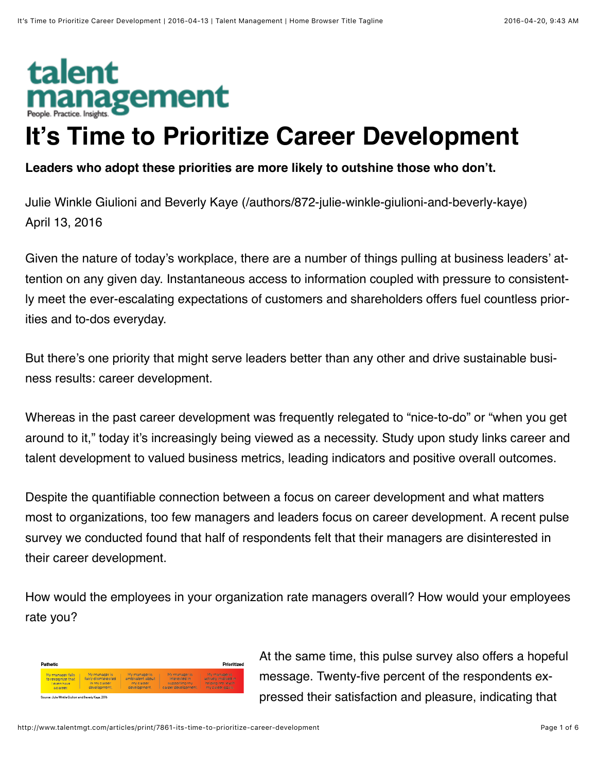# talent **nanagement It's Time to Prioritize Career Development**

# **Leaders who adopt these priorities are more likely to outshine those who don't.**

[Julie Winkle Giulioni and Beverly Kaye \(/authors/872-julie-winkle-giulioni-and-beverly-kaye\)](http://www.talentmgt.com/authors/872-julie-winkle-giulioni-and-beverly-kaye) April 13, 2016

Given the nature of today's workplace, there are a number of things pulling at business leaders' at‐ tention on any given day. Instantaneous access to information coupled with pressure to consistent‐ ly meet the ever-escalating expectations of customers and shareholders offers fuel countless prior‐ ities and to-dos everyday.

But there's one priority that might serve leaders better than any other and drive sustainable business results: career development.

Whereas in the past career development was frequently relegated to "nice-to-do" or "when you get around to it," today it's increasingly being viewed as a necessity. Study upon study links career and talent development to valued business metrics, leading indicators and positive overall outcomes.

Despite the quantifiable connection between a focus on career development and what matters most to organizations, too few managers and leaders focus on career development. A recent pulse survey we conducted found that half of respondents felt that their managers are disinterested in their career development.

How would the employees in your organization rate managers overall? How would your employees rate you?



At the same time, this pulse survey also offers a hopeful message. Twenty-five percent of the respondents ex‐ pressed their satisfaction and pleasure, indicating that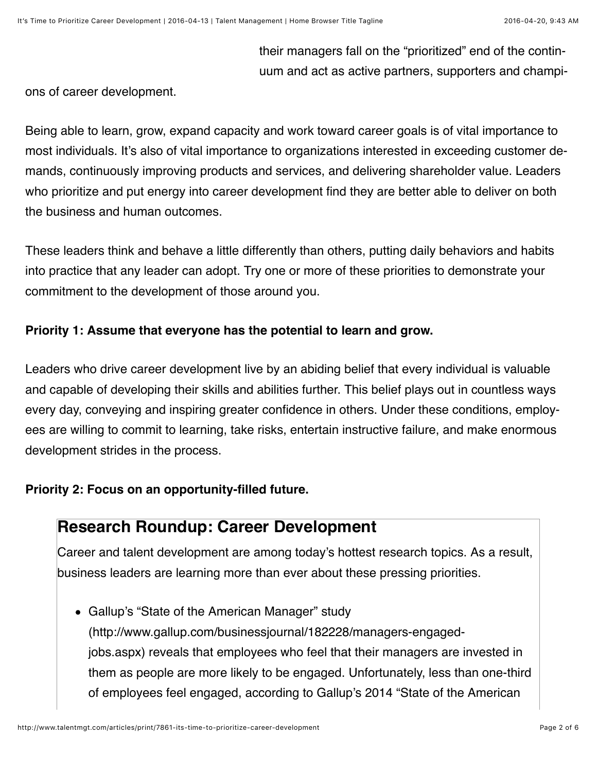their managers fall on the "prioritized" end of the contin‐ uum and act as active partners, supporters and champi‐

ons of career development.

Being able to learn, grow, expand capacity and work toward career goals is of vital importance to most individuals. It's also of vital importance to organizations interested in exceeding customer de‐ mands, continuously improving products and services, and delivering shareholder value. Leaders who prioritize and put energy into career development find they are better able to deliver on both the business and human outcomes.

These leaders think and behave a little differently than others, putting daily behaviors and habits into practice that any leader can adopt. Try one or more of these priorities to demonstrate your commitment to the development of those around you.

# **Priority 1: Assume that everyone has the potential to learn and grow.**

Leaders who drive career development live by an abiding belief that every individual is valuable and capable of developing their skills and abilities further. This belief plays out in countless ways every day, conveying and inspiring greater confidence in others. Under these conditions, employ‐ ees are willing to commit to learning, take risks, entertain instructive failure, and make enormous development strides in the process.

# **Priority 2: Focus on an opportunity-filled future.**

# **Research Roundup: Career Development**

Career and talent development are among today's hottest research topics. As a result, business leaders are learning more than ever about these pressing priorities.

Gallup's "State of the American Manager" study [\(http://www.gallup.com/businessjournal/182228/managers-engaged](http://www.gallup.com/businessjournal/182228/managers-engaged-jobs.aspx)jobs.aspx) reveals that employees who feel that their managers are invested in them as people are more likely to be engaged. Unfortunately, less than one-third [of employees feel engaged, according to Gallup's 2014 "State of the American](http://www.gallup.com/poll/181289/majority-employees-not-engaged-despite-gains-2014.aspx)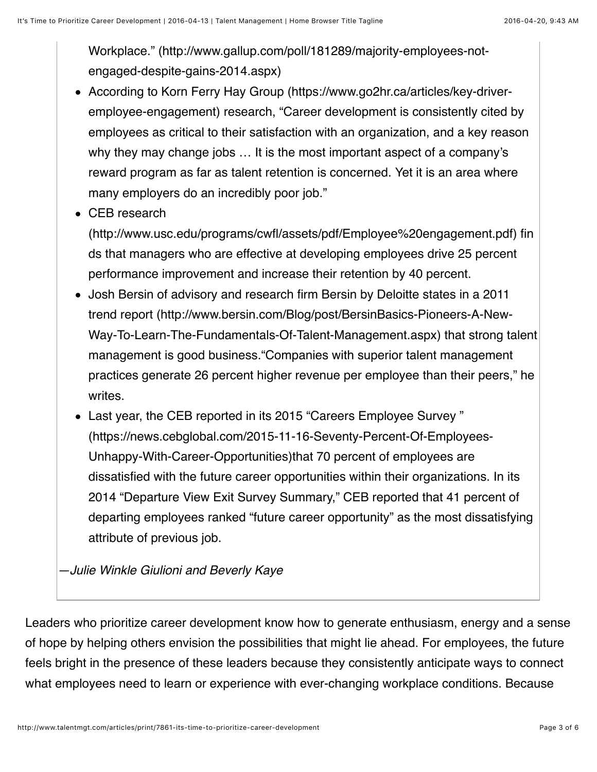[Workplace." \(http://www.gallup.com/poll/181289/majority-employees-not](http://www.gallup.com/poll/181289/majority-employees-not-engaged-despite-gains-2014.aspx)engaged-despite-gains-2014.aspx)

- According to Korn Ferry Hay Group (https://www.go2hr.ca/articles/key-driver[employee-engagement\) research, "Career development is consistently cited b](https://www.go2hr.ca/articles/key-driver-employee-engagement)y employees as critical to their satisfaction with an organization, and a key reason why they may change jobs … It is the most important aspect of a company's reward program as far as talent retention is concerned. Yet it is an area where many employers do an incredibly poor job."
- CEB research

[\(http://www.usc.edu/programs/cwfl/assets/pdf/Employee%20engagement.pdf\)](http://www.usc.edu/programs/cwfl/assets/pdf/Employee%20engagement.pdf) fin ds that managers who are effective at developing employees drive 25 percent performance improvement and increase their retention by 40 percent.

- Josh Bersin of advisory and research firm Bersin by Deloitte states in a 2011 trend report (http://www.bersin.com/Blog/post/BersinBasics-Pioneers-A-New-[Way-To-Learn-The-Fundamentals-Of-Talent-Management.aspx\) that strong ta](http://www.bersin.com/Blog/post/BersinBasics-Pioneers-A-New-Way-To-Learn-The-Fundamentals-Of-Talent-Management.aspx)lent management is good business."Companies with superior talent management practices generate 26 percent higher revenue per employee than their peers," he writes.
- Last year, the CEB reported in its 2015 "Careers Employee Survey " [\(https://news.cebglobal.com/2015-11-16-Seventy-Percent-Of-Employees-](https://news.cebglobal.com/2015-11-16-Seventy-Percent-Of-Employees-Unhappy-With-Career-Opportunities)Unhappy-With-Career-Opportunities)that 70 percent of employees are dissatisfied with the future career opportunities within their organizations. In its 2014 "Departure View Exit Survey Summary," CEB reported that 41 percent of departing employees ranked "future career opportunity" as the most dissatisfying attribute of previous job.

*—Julie Winkle Giulioni and Beverly Kaye*

Leaders who prioritize career development know how to generate enthusiasm, energy and a sense of hope by helping others envision the possibilities that might lie ahead. For employees, the future feels bright in the presence of these leaders because they consistently anticipate ways to connect what employees need to learn or experience with ever-changing workplace conditions. Because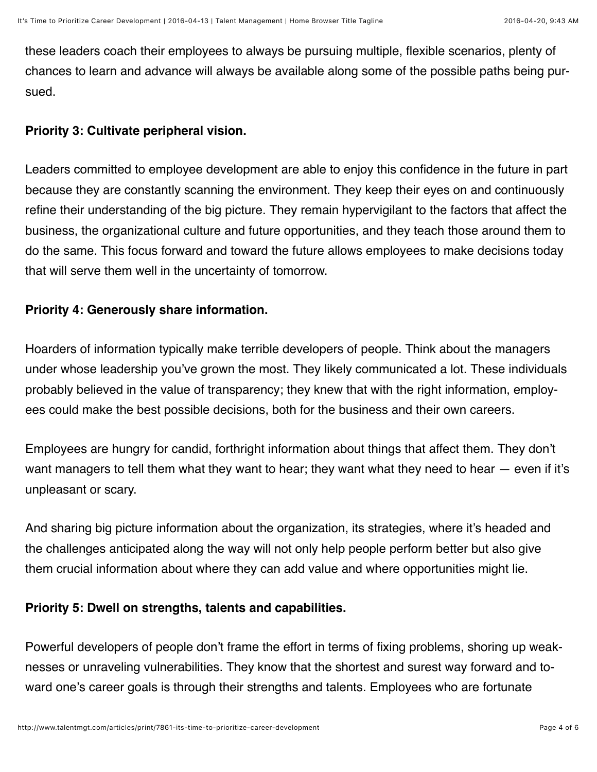these leaders coach their employees to always be pursuing multiple, flexible scenarios, plenty of chances to learn and advance will always be available along some of the possible paths being pur‐ sued.

### **Priority 3: Cultivate peripheral vision.**

Leaders committed to employee development are able to enjoy this confidence in the future in part because they are constantly scanning the environment. They keep their eyes on and continuously refine their understanding of the big picture. They remain hypervigilant to the factors that affect the business, the organizational culture and future opportunities, and they teach those around them to do the same. This focus forward and toward the future allows employees to make decisions today that will serve them well in the uncertainty of tomorrow.

# **Priority 4: Generously share information.**

Hoarders of information typically make terrible developers of people. Think about the managers under whose leadership you've grown the most. They likely communicated a lot. These individuals probably believed in the value of transparency; they knew that with the right information, employ‐ ees could make the best possible decisions, both for the business and their own careers.

Employees are hungry for candid, forthright information about things that affect them. They don't want managers to tell them what they want to hear; they want what they need to hear — even if it's unpleasant or scary.

And sharing big picture information about the organization, its strategies, where it's headed and the challenges anticipated along the way will not only help people perform better but also give them crucial information about where they can add value and where opportunities might lie.

#### **Priority 5: Dwell on strengths, talents and capabilities.**

Powerful developers of people don't frame the effort in terms of fixing problems, shoring up weak‐ nesses or unraveling vulnerabilities. They know that the shortest and surest way forward and to‐ ward one's career goals is through their strengths and talents. Employees who are fortunate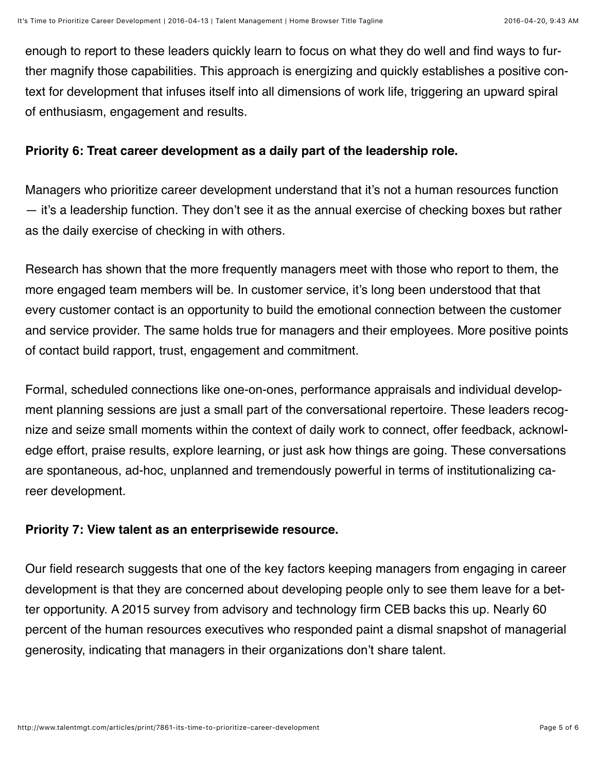enough to report to these leaders quickly learn to focus on what they do well and find ways to fur‐ ther magnify those capabilities. This approach is energizing and quickly establishes a positive con‐ text for development that infuses itself into all dimensions of work life, triggering an upward spiral of enthusiasm, engagement and results.

#### **Priority 6: Treat career development as a daily part of the leadership role.**

Managers who prioritize career development understand that it's not a human resources function — it's a leadership function. They don't see it as the annual exercise of checking boxes but rather as the daily exercise of checking in with others.

Research has shown that the more frequently managers meet with those who report to them, the more engaged team members will be. In customer service, it's long been understood that that every customer contact is an opportunity to build the emotional connection between the customer and service provider. The same holds true for managers and their employees. More positive points of contact build rapport, trust, engagement and commitment.

Formal, scheduled connections like one-on-ones, performance appraisals and individual develop‐ ment planning sessions are just a small part of the conversational repertoire. These leaders recognize and seize small moments within the context of daily work to connect, offer feedback, acknowl‐ edge effort, praise results, explore learning, or just ask how things are going. These conversations are spontaneous, ad-hoc, unplanned and tremendously powerful in terms of institutionalizing ca‐ reer development.

#### **Priority 7: View talent as an enterprisewide resource.**

Our field research suggests that one of the key factors keeping managers from engaging in career development is that they are concerned about developing people only to see them leave for a bet‐ ter opportunity. A 2015 survey from advisory and technology firm CEB backs this up. Nearly 60 percent of the human resources executives who responded paint a dismal snapshot of managerial generosity, indicating that managers in their organizations don't share talent.